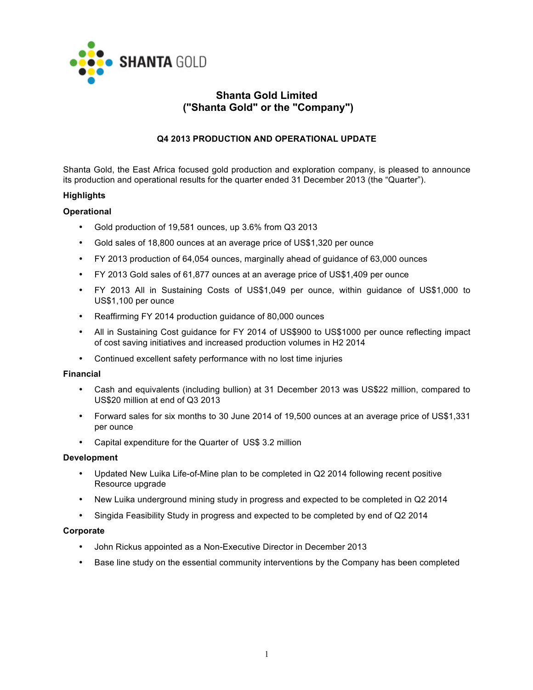

# **Shanta Gold Limited ("Shanta Gold" or the "Company")**

## **Q4 2013 PRODUCTION AND OPERATIONAL UPDATE**

Shanta Gold, the East Africa focused gold production and exploration company, is pleased to announce its production and operational results for the quarter ended 31 December 2013 (the "Quarter").

## **Highlights**

### **Operational**

- Gold production of 19,581 ounces, up 3.6% from Q3 2013
- Gold sales of 18,800 ounces at an average price of US\$1,320 per ounce
- FY 2013 production of 64,054 ounces, marginally ahead of guidance of 63,000 ounces
- FY 2013 Gold sales of 61,877 ounces at an average price of US\$1,409 per ounce
- FY 2013 All in Sustaining Costs of US\$1,049 per ounce, within guidance of US\$1,000 to US\$1,100 per ounce
- Reaffirming FY 2014 production guidance of 80,000 ounces
- All in Sustaining Cost guidance for FY 2014 of US\$900 to US\$1000 per ounce reflecting impact of cost saving initiatives and increased production volumes in H2 2014
- Continued excellent safety performance with no lost time injuries

## **Financial**

- Cash and equivalents (including bullion) at 31 December 2013 was US\$22 million, compared to US\$20 million at end of Q3 2013
- Forward sales for six months to 30 June 2014 of 19,500 ounces at an average price of US\$1,331 per ounce
- Capital expenditure for the Quarter of US\$ 3.2 million

### **Development**

- Updated New Luika Life-of-Mine plan to be completed in Q2 2014 following recent positive Resource upgrade
- New Luika underground mining study in progress and expected to be completed in Q2 2014
- Singida Feasibility Study in progress and expected to be completed by end of Q2 2014

### **Corporate**

- John Rickus appointed as a Non-Executive Director in December 2013
- Base line study on the essential community interventions by the Company has been completed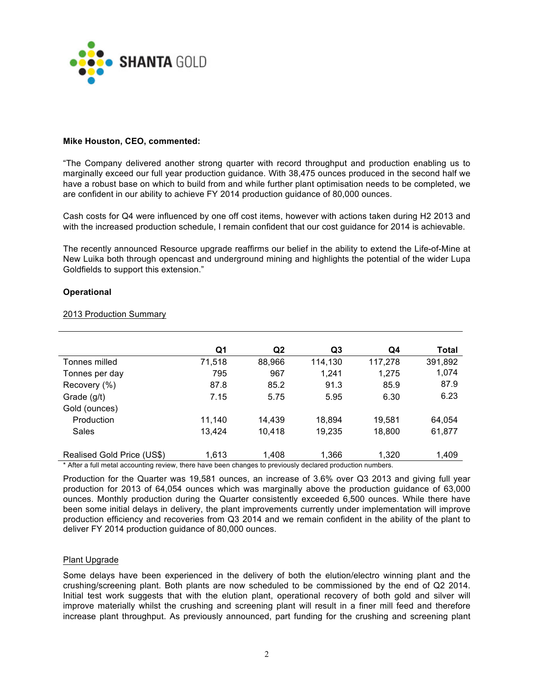

### **Mike Houston, CEO, commented:**

"The Company delivered another strong quarter with record throughput and production enabling us to marginally exceed our full year production guidance. With 38,475 ounces produced in the second half we have a robust base on which to build from and while further plant optimisation needs to be completed, we are confident in our ability to achieve FY 2014 production guidance of 80,000 ounces.

Cash costs for Q4 were influenced by one off cost items, however with actions taken during H2 2013 and with the increased production schedule, I remain confident that our cost guidance for 2014 is achievable.

The recently announced Resource upgrade reaffirms our belief in the ability to extend the Life-of-Mine at New Luika both through opencast and underground mining and highlights the potential of the wider Lupa Goldfields to support this extension."

### **Operational**

|                            | Q1     | Q <sub>2</sub> | Q3      | Q4      | Total   |
|----------------------------|--------|----------------|---------|---------|---------|
| Tonnes milled              | 71,518 | 88,966         | 114,130 | 117,278 | 391,892 |
| Tonnes per day             | 795    | 967            | 1,241   | 1.275   | 1,074   |
| Recovery (%)               | 87.8   | 85.2           | 91.3    | 85.9    | 87.9    |
| Grade (g/t)                | 7.15   | 5.75           | 5.95    | 6.30    | 6.23    |
| Gold (ounces)              |        |                |         |         |         |
| Production                 | 11,140 | 14.439         | 18,894  | 19,581  | 64,054  |
| Sales                      | 13,424 | 10,418         | 19,235  | 18,800  | 61,877  |
|                            |        |                |         |         |         |
| Realised Gold Price (US\$) | 1.613  | 1.408          | 1.366   | 1.320   | 1.409   |

#### 2013 Production Summary

\* After a full metal accounting review, there have been changes to previously declared production numbers.

Production for the Quarter was 19,581 ounces, an increase of 3.6% over Q3 2013 and giving full year production for 2013 of 64,054 ounces which was marginally above the production guidance of 63,000 ounces. Monthly production during the Quarter consistently exceeded 6,500 ounces. While there have been some initial delays in delivery, the plant improvements currently under implementation will improve production efficiency and recoveries from Q3 2014 and we remain confident in the ability of the plant to deliver FY 2014 production guidance of 80,000 ounces.

## Plant Upgrade

Some delays have been experienced in the delivery of both the elution/electro winning plant and the crushing/screening plant. Both plants are now scheduled to be commissioned by the end of Q2 2014. Initial test work suggests that with the elution plant, operational recovery of both gold and silver will improve materially whilst the crushing and screening plant will result in a finer mill feed and therefore increase plant throughput. As previously announced, part funding for the crushing and screening plant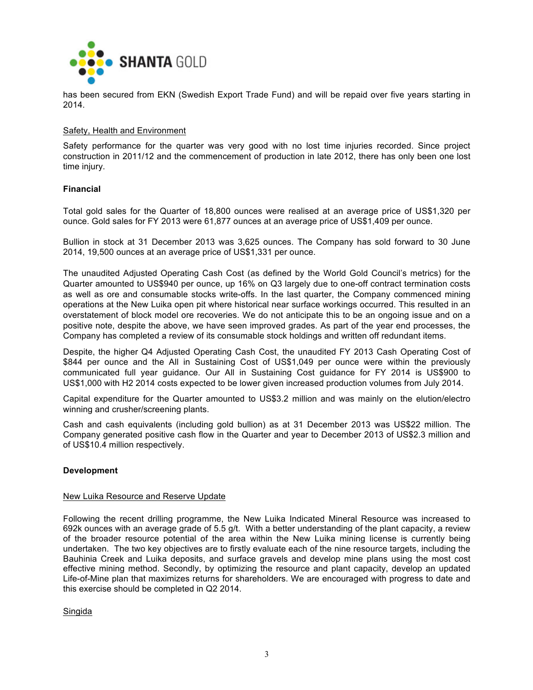

has been secured from EKN (Swedish Export Trade Fund) and will be repaid over five years starting in 2014.

#### Safety, Health and Environment

Safety performance for the quarter was very good with no lost time injuries recorded. Since project construction in 2011/12 and the commencement of production in late 2012, there has only been one lost time injury.

### **Financial**

Total gold sales for the Quarter of 18,800 ounces were realised at an average price of US\$1,320 per ounce. Gold sales for FY 2013 were 61,877 ounces at an average price of US\$1,409 per ounce.

Bullion in stock at 31 December 2013 was 3,625 ounces. The Company has sold forward to 30 June 2014, 19,500 ounces at an average price of US\$1,331 per ounce.

The unaudited Adjusted Operating Cash Cost (as defined by the World Gold Council's metrics) for the Quarter amounted to US\$940 per ounce, up 16% on Q3 largely due to one-off contract termination costs as well as ore and consumable stocks write-offs. In the last quarter, the Company commenced mining operations at the New Luika open pit where historical near surface workings occurred. This resulted in an overstatement of block model ore recoveries. We do not anticipate this to be an ongoing issue and on a positive note, despite the above, we have seen improved grades. As part of the year end processes, the Company has completed a review of its consumable stock holdings and written off redundant items.

Despite, the higher Q4 Adjusted Operating Cash Cost, the unaudited FY 2013 Cash Operating Cost of \$844 per ounce and the All in Sustaining Cost of US\$1,049 per ounce were within the previously communicated full year guidance. Our All in Sustaining Cost guidance for FY 2014 is US\$900 to US\$1,000 with H2 2014 costs expected to be lower given increased production volumes from July 2014.

Capital expenditure for the Quarter amounted to US\$3.2 million and was mainly on the elution/electro winning and crusher/screening plants.

Cash and cash equivalents (including gold bullion) as at 31 December 2013 was US\$22 million. The Company generated positive cash flow in the Quarter and year to December 2013 of US\$2.3 million and of US\$10.4 million respectively.

### **Development**

### New Luika Resource and Reserve Update

Following the recent drilling programme, the New Luika Indicated Mineral Resource was increased to 692k ounces with an average grade of 5.5 g/t. With a better understanding of the plant capacity, a review of the broader resource potential of the area within the New Luika mining license is currently being undertaken. The two key objectives are to firstly evaluate each of the nine resource targets, including the Bauhinia Creek and Luika deposits, and surface gravels and develop mine plans using the most cost effective mining method. Secondly, by optimizing the resource and plant capacity, develop an updated Life-of-Mine plan that maximizes returns for shareholders. We are encouraged with progress to date and this exercise should be completed in Q2 2014.

### Singida